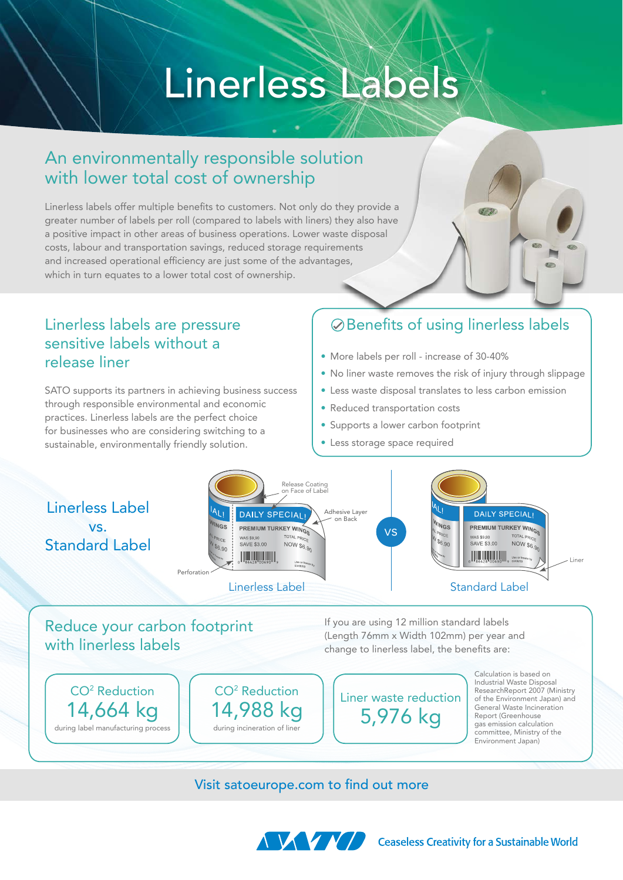# Linerless Labels

# An environmentally responsible solution with lower total cost of ownership

Linerless labels offer multiple benefits to customers. Not only do they provide a greater number of labels per roll (compared to labels with liners) they also have a positive impact in other areas of business operations. Lower waste disposal costs, labour and transportation savings, reduced storage requirements and increased operational efficiency are just some of the advantages, which in turn equates to a lower total cost of ownership.

## Linerless labels are pressure sensitive labels without a release liner

SATO supports its partners in achieving business success through responsible environmental and economic practices. Linerless labels are the perfect choice for businesses who are considering switching to a sustainable, environmentally friendly solution.

# Benefits of using linerless labels

- More labels per roll increase of 30-40%
- No liner waste removes the risk of injury through slippage
- Less waste disposal translates to less carbon emission
- Reduced transportation costs
- Supports a lower carbon footprint
- Less storage space required



## Reduce your carbon footprint with linerless labels

If you are using 12 million standard labels (Length 76mm x Width 102mm) per year and change to linerless label, the benefits are:



## Visit satoeurope.com to find out more